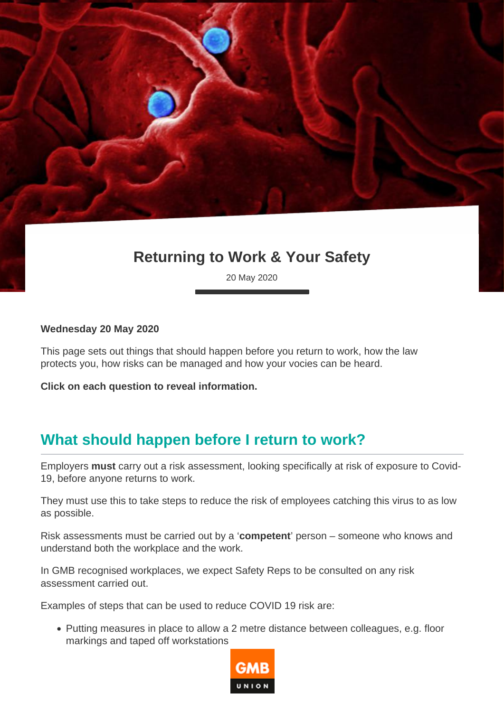# **Returning to Work & Your Safety**

20 May 2020

#### **Wednesday 20 May 2020**

This page sets out things that should happen before you return to work, how the law protects you, how risks can be managed and how your vocies can be heard.

**Click on each question to reveal information.**

### **What should happen before I return to work?**

Employers **must** carry out a risk assessment, looking specifically at risk of exposure to Covid-19, before anyone returns to work.

They must use this to take steps to reduce the risk of employees catching this virus to as low as possible.

Risk assessments must be carried out by a '**competent**' person – someone who knows and understand both the workplace and the work.

In GMB recognised workplaces, we expect Safety Reps to be consulted on any risk assessment carried out.

Examples of steps that can be used to reduce COVID 19 risk are:

Putting measures in place to allow a 2 metre distance between colleagues, e.g. floor markings and taped off workstations

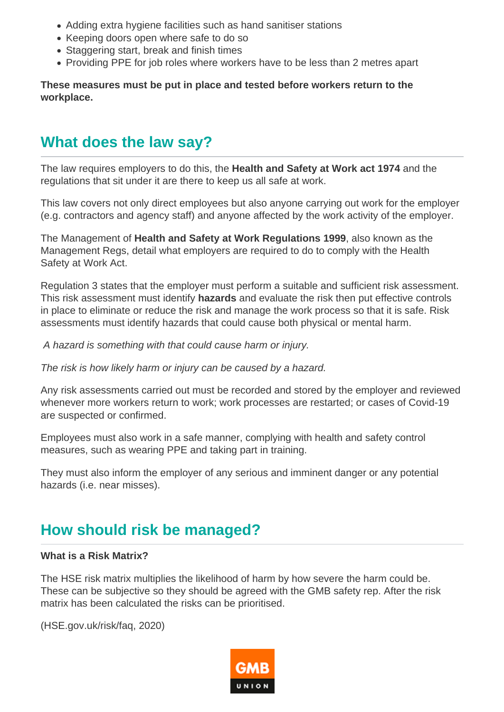- Adding extra hygiene facilities such as hand sanitiser stations
- Keeping doors open where safe to do so
- Staggering start, break and finish times
- Providing PPE for job roles where workers have to be less than 2 metres apart

#### **These measures must be put in place and tested before workers return to the workplace.**

### **What does the law say?**

The law requires employers to do this, the **Health and Safety at Work act 1974** and the regulations that sit under it are there to keep us all safe at work.

This law covers not only direct employees but also anyone carrying out work for the employer (e.g. contractors and agency staff) and anyone affected by the work activity of the employer.

The Management of **Health and Safety at Work Regulations 1999**, also known as the Management Regs, detail what employers are required to do to comply with the Health Safety at Work Act.

Regulation 3 states that the employer must perform a suitable and sufficient risk assessment. This risk assessment must identify **hazards** and evaluate the risk then put effective controls in place to eliminate or reduce the risk and manage the work process so that it is safe. Risk assessments must identify hazards that could cause both physical or mental harm.

A hazard is something with that could cause harm or injury.

The risk is how likely harm or injury can be caused by a hazard.

Any risk assessments carried out must be recorded and stored by the employer and reviewed whenever more workers return to work; work processes are restarted; or cases of Covid-19 are suspected or confirmed.

Employees must also work in a safe manner, complying with health and safety control measures, such as wearing PPE and taking part in training.

They must also inform the employer of any serious and imminent danger or any potential hazards (i.e. near misses).

## **How should risk be managed?**

#### **What is a Risk Matrix?**

The HSE risk matrix multiplies the likelihood of harm by how severe the harm could be. These can be subjective so they should be agreed with the GMB safety rep. After the risk matrix has been calculated the risks can be prioritised.

(HSE.gov.uk/risk/faq, 2020)